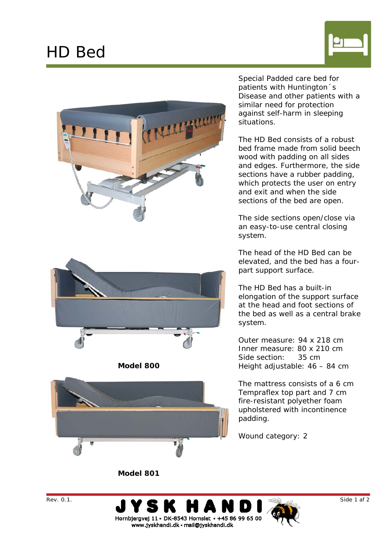## HD Bed







**Model 800** 



Special Padded care bed for patients with Huntington´s Disease and other patients with a similar need for protection against self-harm in sleeping situations.

The HD Bed consists of a robust bed frame made from solid beech wood with padding on all sides and edges. Furthermore, the side sections have a rubber padding, which protects the user on entry and exit and when the side sections of the bed are open.

The side sections open/close via an easy-to-use central closing system.

The head of the HD Bed can be elevated, and the bed has a fourpart support surface.

The HD Bed has a built-in elongation of the support surface at the head and foot sections of the bed as well as a central brake system.

Outer measure: 94 x 218 cm Inner measure: 80 x 210 cm Side section: 35 cm Height adjustable: 46 – 84 cm

The mattress consists of a 6 cm Tempraflex top part and 7 cm fire-resistant polyether foam upholstered with incontinence padding.

Wound category: 2

**Model 801**





www.jyskhandi.dk · mail@jyskhandi.dk